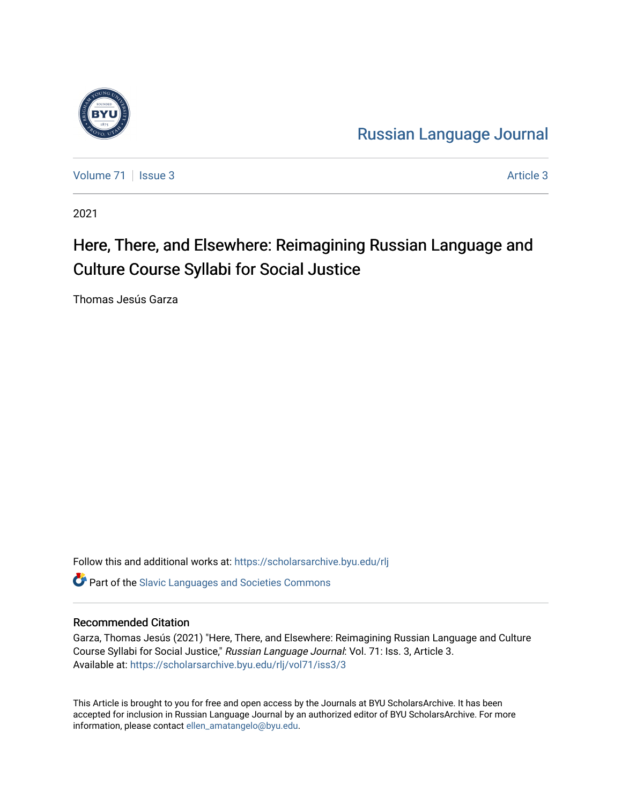

[Russian Language Journal](https://scholarsarchive.byu.edu/rlj) 

[Volume 71](https://scholarsarchive.byu.edu/rlj/vol71) | [Issue 3](https://scholarsarchive.byu.edu/rlj/vol71/iss3) Article 3

2021

# Here, There, and Elsewhere: Reimagining Russian Language and Culture Course Syllabi for Social Justice

Thomas Jesús Garza

Follow this and additional works at: [https://scholarsarchive.byu.edu/rlj](https://scholarsarchive.byu.edu/rlj?utm_source=scholarsarchive.byu.edu%2Frlj%2Fvol71%2Fiss3%2F3&utm_medium=PDF&utm_campaign=PDFCoverPages)

**C** Part of the Slavic Languages and Societies Commons

### Recommended Citation

Garza, Thomas Jesús (2021) "Here, There, and Elsewhere: Reimagining Russian Language and Culture Course Syllabi for Social Justice," Russian Language Journal: Vol. 71: Iss. 3, Article 3. Available at: [https://scholarsarchive.byu.edu/rlj/vol71/iss3/3](https://scholarsarchive.byu.edu/rlj/vol71/iss3/3?utm_source=scholarsarchive.byu.edu%2Frlj%2Fvol71%2Fiss3%2F3&utm_medium=PDF&utm_campaign=PDFCoverPages) 

This Article is brought to you for free and open access by the Journals at BYU ScholarsArchive. It has been accepted for inclusion in Russian Language Journal by an authorized editor of BYU ScholarsArchive. For more information, please contact [ellen\\_amatangelo@byu.edu.](mailto:ellen_amatangelo@byu.edu)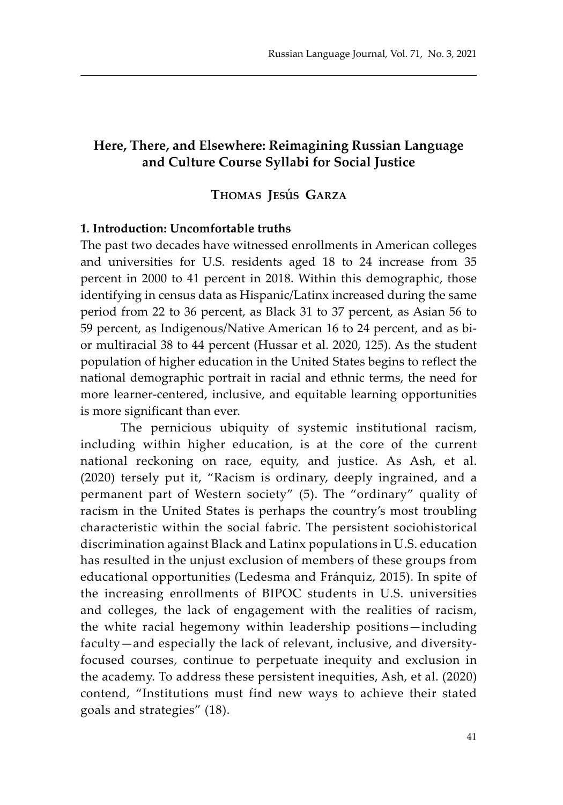## **Here, There, and Elsewhere: Reimagining Russian Language and Culture Course Syllabi for Social Justice**

## **Thomas Jes**ú**s Garza**

#### **1. Introduction: Uncomfortable truths**

The past two decades have witnessed enrollments in American colleges and universities for U.S. residents aged 18 to 24 increase from 35 percent in 2000 to 41 percent in 2018. Within this demographic, those identifying in census data as Hispanic/Latinx increased during the same period from 22 to 36 percent, as Black 31 to 37 percent, as Asian 56 to 59 percent, as Indigenous/Native American 16 to 24 percent, and as bior multiracial 38 to 44 percent (Hussar et al. 2020, 125). As the student population of higher education in the United States begins to reflect the national demographic portrait in racial and ethnic terms, the need for more learner-centered, inclusive, and equitable learning opportunities is more significant than ever.

The pernicious ubiquity of systemic institutional racism, including within higher education, is at the core of the current national reckoning on race, equity, and justice. As Ash, et al. (2020) tersely put it, "Racism is ordinary, deeply ingrained, and a permanent part of Western society" (5). The "ordinary" quality of racism in the United States is perhaps the country's most troubling characteristic within the social fabric. The persistent sociohistorical discrimination against Black and Latinx populations in U.S. education has resulted in the unjust exclusion of members of these groups from educational opportunities (Ledesma and Fránquiz, 2015). In spite of the increasing enrollments of BIPOC students in U.S. universities and colleges, the lack of engagement with the realities of racism, the white racial hegemony within leadership positions—including faculty—and especially the lack of relevant, inclusive, and diversityfocused courses, continue to perpetuate inequity and exclusion in the academy. To address these persistent inequities, Ash, et al. (2020) contend, "Institutions must find new ways to achieve their stated goals and strategies" (18).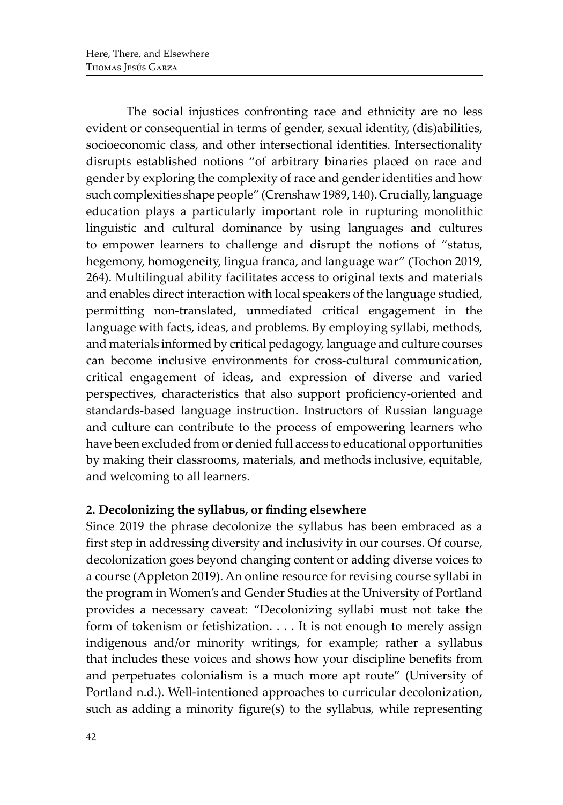The social injustices confronting race and ethnicity are no less evident or consequential in terms of gender, sexual identity, (dis)abilities, socioeconomic class, and other intersectional identities. Intersectionality disrupts established notions "of arbitrary binaries placed on race and gender by exploring the complexity of race and gender identities and how such complexities shape people" (Crenshaw 1989, 140). Crucially, language education plays a particularly important role in rupturing monolithic linguistic and cultural dominance by using languages and cultures to empower learners to challenge and disrupt the notions of "status, hegemony, homogeneity, lingua franca, and language war" (Tochon 2019, 264). Multilingual ability facilitates access to original texts and materials and enables direct interaction with local speakers of the language studied, permitting non-translated, unmediated critical engagement in the language with facts, ideas, and problems. By employing syllabi, methods, and materials informed by critical pedagogy, language and culture courses can become inclusive environments for cross-cultural communication, critical engagement of ideas, and expression of diverse and varied perspectives, characteristics that also support proficiency-oriented and standards-based language instruction. Instructors of Russian language and culture can contribute to the process of empowering learners who have been excluded from or denied full access to educational opportunities by making their classrooms, materials, and methods inclusive, equitable, and welcoming to all learners.

# **2. Decolonizing the syllabus, or finding elsewhere**

Since 2019 the phrase decolonize the syllabus has been embraced as a first step in addressing diversity and inclusivity in our courses. Of course, decolonization goes beyond changing content or adding diverse voices to a course (Appleton 2019). An online resource for revising course syllabi in the program in Women's and Gender Studies at the University of Portland provides a necessary caveat: "Decolonizing syllabi must not take the form of tokenism or fetishization. . . . It is not enough to merely assign indigenous and/or minority writings, for example; rather a syllabus that includes these voices and shows how your discipline benefits from and perpetuates colonialism is a much more apt route" (University of Portland n.d.). Well-intentioned approaches to curricular decolonization, such as adding a minority figure(s) to the syllabus, while representing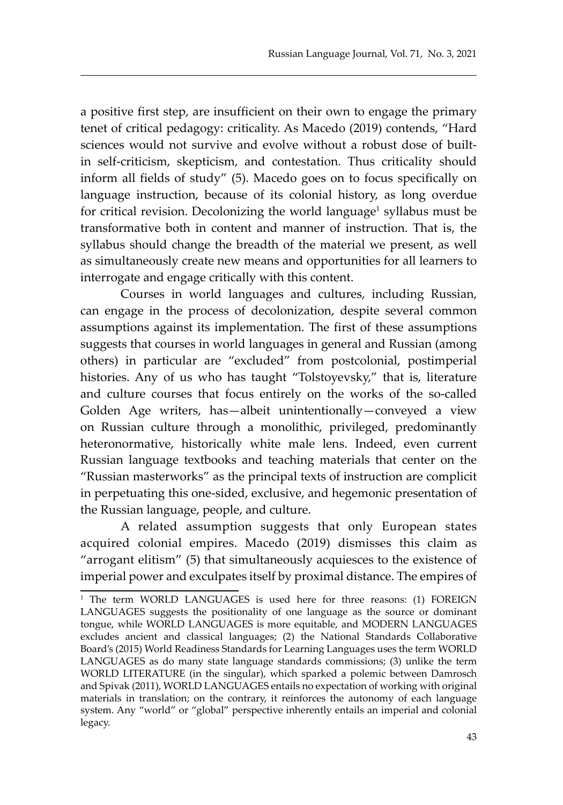a positive first step, are insufficient on their own to engage the primary tenet of critical pedagogy: criticality. As Macedo (2019) contends, "Hard sciences would not survive and evolve without a robust dose of builtin self-criticism, skepticism, and contestation. Thus criticality should inform all fields of study" (5). Macedo goes on to focus specifically on language instruction, because of its colonial history, as long overdue for critical revision. Decolonizing the world language<sup>1</sup> syllabus must be transformative both in content and manner of instruction. That is, the syllabus should change the breadth of the material we present, as well as simultaneously create new means and opportunities for all learners to interrogate and engage critically with this content.

Courses in world languages and cultures, including Russian, can engage in the process of decolonization, despite several common assumptions against its implementation. The first of these assumptions suggests that courses in world languages in general and Russian (among others) in particular are "excluded" from postcolonial, postimperial histories. Any of us who has taught "Tolstoyevsky," that is, literature and culture courses that focus entirely on the works of the so-called Golden Age writers, has—albeit unintentionally—conveyed a view on Russian culture through a monolithic, privileged, predominantly heteronormative, historically white male lens. Indeed, even current Russian language textbooks and teaching materials that center on the "Russian masterworks" as the principal texts of instruction are complicit in perpetuating this one-sided, exclusive, and hegemonic presentation of the Russian language, people, and culture.

A related assumption suggests that only European states acquired colonial empires. Macedo (2019) dismisses this claim as "arrogant elitism" (5) that simultaneously acquiesces to the existence of imperial power and exculpates itself by proximal distance. The empires of

<sup>1</sup> The term WORLD LANGUAGES is used here for three reasons: (1) FOREIGN LANGUAGES suggests the positionality of one language as the source or dominant tongue, while WORLD LANGUAGES is more equitable, and MODERN LANGUAGES excludes ancient and classical languages; (2) the National Standards Collaborative Board's (2015) World Readiness Standards for Learning Languages uses the term WORLD LANGUAGES as do many state language standards commissions; (3) unlike the term WORLD LITERATURE (in the singular), which sparked a polemic between Damrosch and Spivak (2011), WORLD LANGUAGES entails no expectation of working with original materials in translation; on the contrary, it reinforces the autonomy of each language system. Any "world" or "global" perspective inherently entails an imperial and colonial legacy.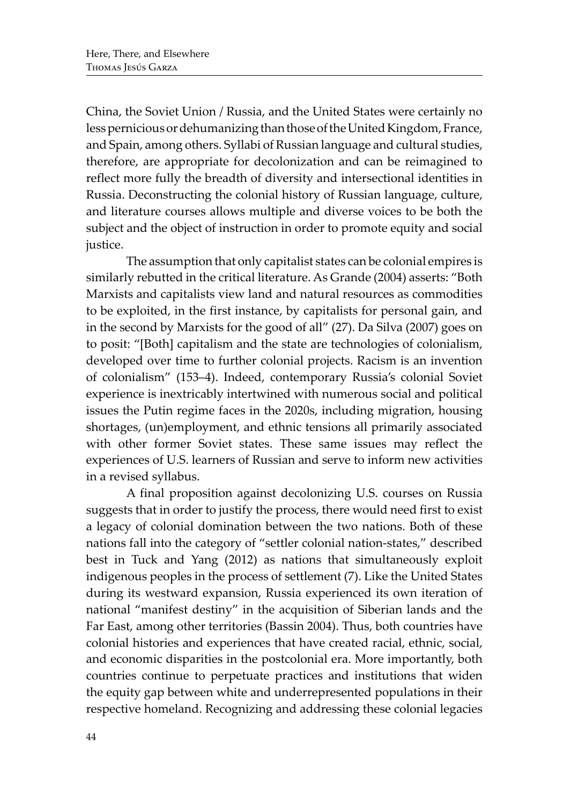China, the Soviet Union / Russia, and the United States were certainly no less pernicious or dehumanizing than those of the United Kingdom, France, and Spain, among others. Syllabi of Russian language and cultural studies, therefore, are appropriate for decolonization and can be reimagined to reflect more fully the breadth of diversity and intersectional identities in Russia. Deconstructing the colonial history of Russian language, culture, and literature courses allows multiple and diverse voices to be both the subject and the object of instruction in order to promote equity and social justice.

The assumption that only capitalist states can be colonial empires is similarly rebutted in the critical literature. As Grande (2004) asserts: "Both Marxists and capitalists view land and natural resources as commodities to be exploited, in the first instance, by capitalists for personal gain, and in the second by Marxists for the good of all" (27). Da Silva (2007) goes on to posit: "[Both] capitalism and the state are technologies of colonialism, developed over time to further colonial projects. Racism is an invention of colonialism" (153–4). Indeed, contemporary Russia's colonial Soviet experience is inextricably intertwined with numerous social and political issues the Putin regime faces in the 2020s, including migration, housing shortages, (un)employment, and ethnic tensions all primarily associated with other former Soviet states. These same issues may reflect the experiences of U.S. learners of Russian and serve to inform new activities in a revised syllabus.

A final proposition against decolonizing U.S. courses on Russia suggests that in order to justify the process, there would need first to exist a legacy of colonial domination between the two nations. Both of these nations fall into the category of "settler colonial nation-states," described best in Tuck and Yang (2012) as nations that simultaneously exploit indigenous peoples in the process of settlement (7). Like the United States during its westward expansion, Russia experienced its own iteration of national "manifest destiny" in the acquisition of Siberian lands and the Far East, among other territories (Bassin 2004). Thus, both countries have colonial histories and experiences that have created racial, ethnic, social, and economic disparities in the postcolonial era. More importantly, both countries continue to perpetuate practices and institutions that widen the equity gap between white and underrepresented populations in their respective homeland. Recognizing and addressing these colonial legacies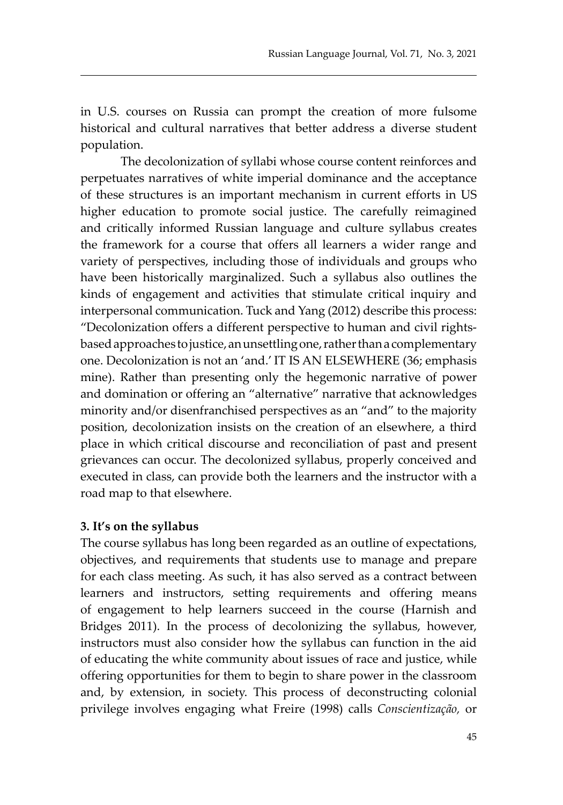in U.S. courses on Russia can prompt the creation of more fulsome historical and cultural narratives that better address a diverse student population.

The decolonization of syllabi whose course content reinforces and perpetuates narratives of white imperial dominance and the acceptance of these structures is an important mechanism in current efforts in US higher education to promote social justice. The carefully reimagined and critically informed Russian language and culture syllabus creates the framework for a course that offers all learners a wider range and variety of perspectives, including those of individuals and groups who have been historically marginalized. Such a syllabus also outlines the kinds of engagement and activities that stimulate critical inquiry and interpersonal communication. Tuck and Yang (2012) describe this process: "Decolonization offers a different perspective to human and civil rightsbased approaches to justice, an unsettling one, rather than a complementary one. Decolonization is not an 'and.' IT IS AN ELSEWHERE (36; emphasis mine). Rather than presenting only the hegemonic narrative of power and domination or offering an "alternative" narrative that acknowledges minority and/or disenfranchised perspectives as an "and" to the majority position, decolonization insists on the creation of an elsewhere, a third place in which critical discourse and reconciliation of past and present grievances can occur. The decolonized syllabus, properly conceived and executed in class, can provide both the learners and the instructor with a road map to that elsewhere.

#### **3. It's on the syllabus**

The course syllabus has long been regarded as an outline of expectations, objectives, and requirements that students use to manage and prepare for each class meeting. As such, it has also served as a contract between learners and instructors, setting requirements and offering means of engagement to help learners succeed in the course (Harnish and Bridges 2011). In the process of decolonizing the syllabus, however, instructors must also consider how the syllabus can function in the aid of educating the white community about issues of race and justice, while offering opportunities for them to begin to share power in the classroom and, by extension, in society. This process of deconstructing colonial privilege involves engaging what Freire (1998) calls *Conscientização,* or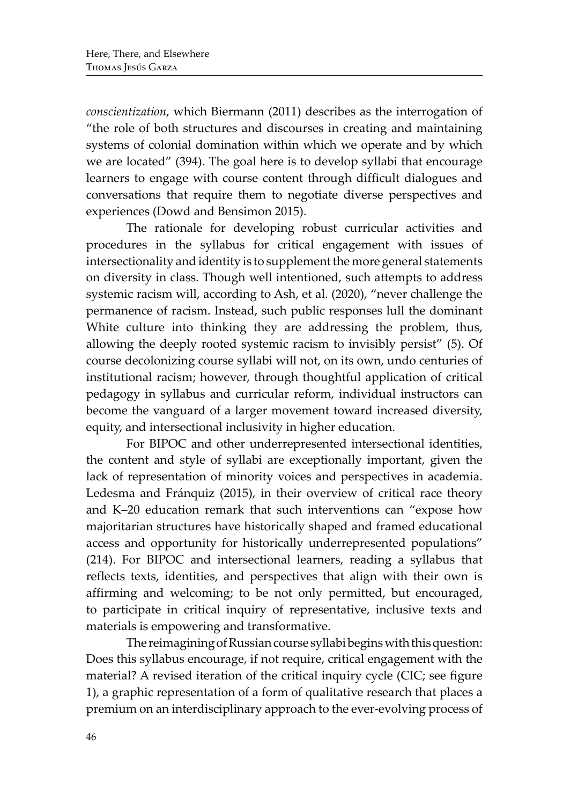*conscientization*, which Biermann (2011) describes as the interrogation of "the role of both structures and discourses in creating and maintaining systems of colonial domination within which we operate and by which we are located" (394). The goal here is to develop syllabi that encourage learners to engage with course content through difficult dialogues and conversations that require them to negotiate diverse perspectives and experiences (Dowd and Bensimon 2015).

The rationale for developing robust curricular activities and procedures in the syllabus for critical engagement with issues of intersectionality and identity is to supplement the more general statements on diversity in class. Though well intentioned, such attempts to address systemic racism will, according to Ash, et al. (2020), "never challenge the permanence of racism. Instead, such public responses lull the dominant White culture into thinking they are addressing the problem, thus, allowing the deeply rooted systemic racism to invisibly persist" (5). Of course decolonizing course syllabi will not, on its own, undo centuries of institutional racism; however, through thoughtful application of critical pedagogy in syllabus and curricular reform, individual instructors can become the vanguard of a larger movement toward increased diversity, equity, and intersectional inclusivity in higher education.

For BIPOC and other underrepresented intersectional identities, the content and style of syllabi are exceptionally important, given the lack of representation of minority voices and perspectives in academia. Ledesma and Fránquiz (2015), in their overview of critical race theory and K–20 education remark that such interventions can "expose how majoritarian structures have historically shaped and framed educational access and opportunity for historically underrepresented populations" (214). For BIPOC and intersectional learners, reading a syllabus that reflects texts, identities, and perspectives that align with their own is affirming and welcoming; to be not only permitted, but encouraged, to participate in critical inquiry of representative, inclusive texts and materials is empowering and transformative.

The reimagining of Russian course syllabi begins with this question: Does this syllabus encourage, if not require, critical engagement with the material? A revised iteration of the critical inquiry cycle (CIC; see figure 1), a graphic representation of a form of qualitative research that places a premium on an interdisciplinary approach to the ever-evolving process of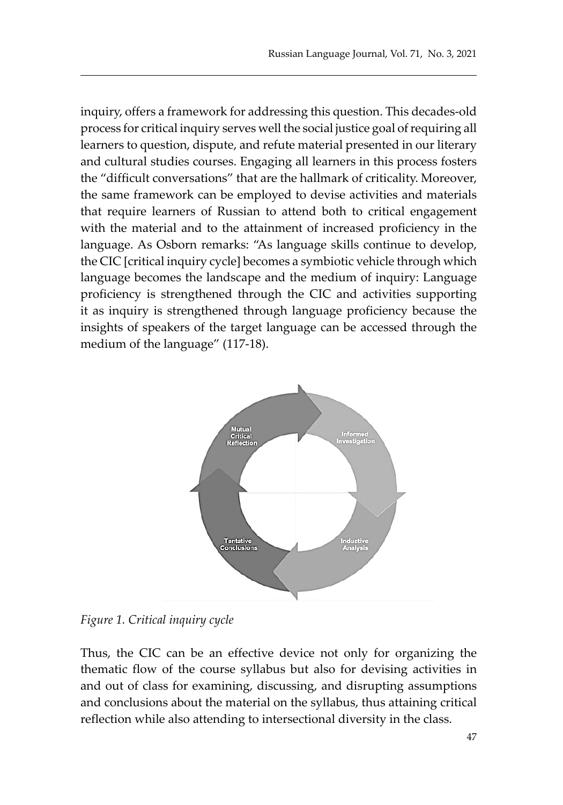inquiry, offers a framework for addressing this question. This decades-old process for critical inquiry serves well the social justice goal of requiring all learners to question, dispute, and refute material presented in our literary and cultural studies courses. Engaging all learners in this process fosters the "difficult conversations" that are the hallmark of criticality. Moreover, the same framework can be employed to devise activities and materials that require learners of Russian to attend both to critical engagement with the material and to the attainment of increased proficiency in the language. As Osborn remarks: "As language skills continue to develop, the CIC [critical inquiry cycle] becomes a symbiotic vehicle through which language becomes the landscape and the medium of inquiry: Language proficiency is strengthened through the CIC and activities supporting it as inquiry is strengthened through language proficiency because the insights of speakers of the target language can be accessed through the medium of the language" (117-18).



*Figure 1. Critical inquiry cycle*

Thus, the CIC can be an effective device not only for organizing the thematic flow of the course syllabus but also for devising activities in and out of class for examining, discussing, and disrupting assumptions and conclusions about the material on the syllabus, thus attaining critical reflection while also attending to intersectional diversity in the class.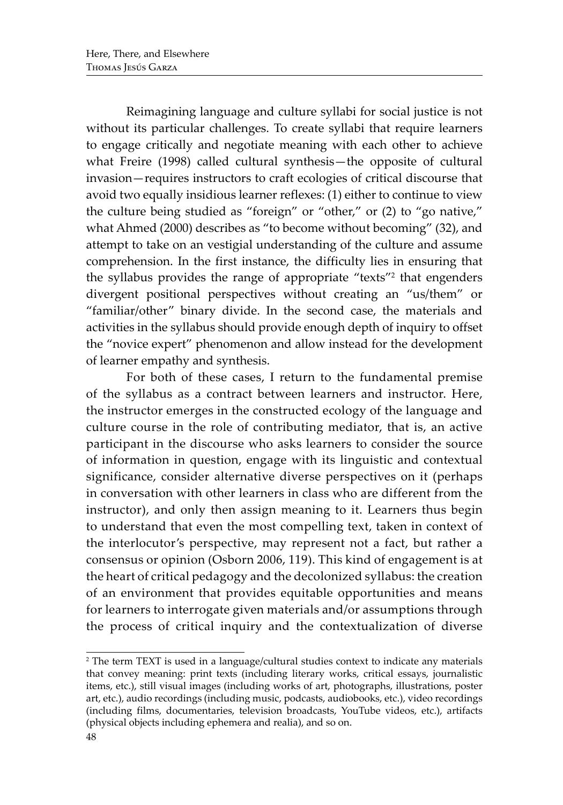Reimagining language and culture syllabi for social justice is not without its particular challenges. To create syllabi that require learners to engage critically and negotiate meaning with each other to achieve what Freire (1998) called cultural synthesis—the opposite of cultural invasion—requires instructors to craft ecologies of critical discourse that avoid two equally insidious learner reflexes: (1) either to continue to view the culture being studied as "foreign" or "other," or (2) to "go native," what Ahmed (2000) describes as "to become without becoming" (32), and attempt to take on an vestigial understanding of the culture and assume comprehension. In the first instance, the difficulty lies in ensuring that the syllabus provides the range of appropriate "texts"<sup>2</sup> that engenders divergent positional perspectives without creating an "us/them" or "familiar/other" binary divide. In the second case, the materials and activities in the syllabus should provide enough depth of inquiry to offset the "novice expert" phenomenon and allow instead for the development of learner empathy and synthesis.

For both of these cases, I return to the fundamental premise of the syllabus as a contract between learners and instructor. Here, the instructor emerges in the constructed ecology of the language and culture course in the role of contributing mediator, that is, an active participant in the discourse who asks learners to consider the source of information in question, engage with its linguistic and contextual significance, consider alternative diverse perspectives on it (perhaps in conversation with other learners in class who are different from the instructor), and only then assign meaning to it. Learners thus begin to understand that even the most compelling text, taken in context of the interlocutor's perspective, may represent not a fact, but rather a consensus or opinion (Osborn 2006, 119). This kind of engagement is at the heart of critical pedagogy and the decolonized syllabus: the creation of an environment that provides equitable opportunities and means for learners to interrogate given materials and/or assumptions through the process of critical inquiry and the contextualization of diverse

<sup>2</sup> The term TEXT is used in a language/cultural studies context to indicate any materials that convey meaning: print texts (including literary works, critical essays, journalistic items, etc.), still visual images (including works of art, photographs, illustrations, poster art, etc.), audio recordings (including music, podcasts, audiobooks, etc.), video recordings (including films, documentaries, television broadcasts, YouTube videos, etc.), artifacts (physical objects including ephemera and realia), and so on.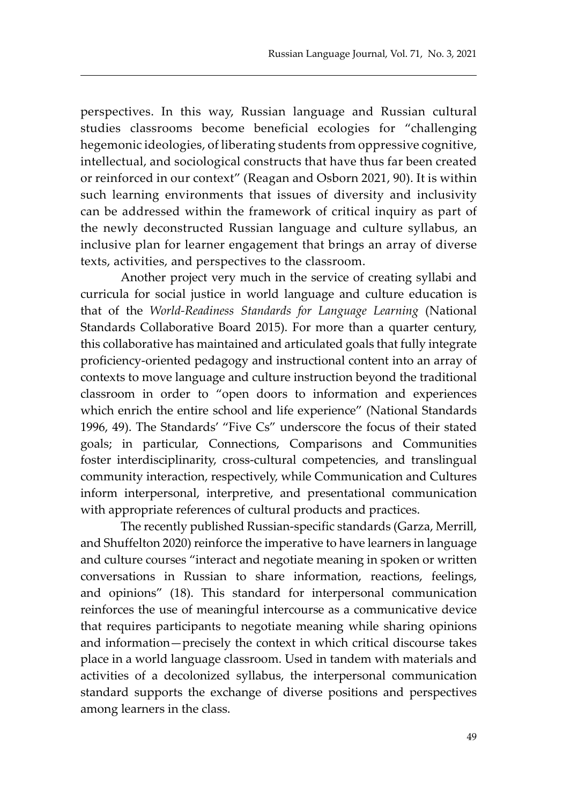perspectives. In this way, Russian language and Russian cultural studies classrooms become beneficial ecologies for "challenging hegemonic ideologies, of liberating students from oppressive cognitive, intellectual, and sociological constructs that have thus far been created or reinforced in our context" (Reagan and Osborn 2021, 90). It is within such learning environments that issues of diversity and inclusivity can be addressed within the framework of critical inquiry as part of the newly deconstructed Russian language and culture syllabus, an inclusive plan for learner engagement that brings an array of diverse texts, activities, and perspectives to the classroom.

Another project very much in the service of creating syllabi and curricula for social justice in world language and culture education is that of the *World-Readiness Standards for Language Learning* (National Standards Collaborative Board 2015). For more than a quarter century, this collaborative has maintained and articulated goals that fully integrate proficiency-oriented pedagogy and instructional content into an array of contexts to move language and culture instruction beyond the traditional classroom in order to "open doors to information and experiences which enrich the entire school and life experience" (National Standards 1996, 49). The Standards' "Five Cs" underscore the focus of their stated goals; in particular, Connections, Comparisons and Communities foster interdisciplinarity, cross-cultural competencies, and translingual community interaction, respectively, while Communication and Cultures inform interpersonal, interpretive, and presentational communication with appropriate references of cultural products and practices.

The recently published Russian-specific standards (Garza, Merrill, and Shuffelton 2020) reinforce the imperative to have learners in language and culture courses "interact and negotiate meaning in spoken or written conversations in Russian to share information, reactions, feelings, and opinions" (18). This standard for interpersonal communication reinforces the use of meaningful intercourse as a communicative device that requires participants to negotiate meaning while sharing opinions and information—precisely the context in which critical discourse takes place in a world language classroom. Used in tandem with materials and activities of a decolonized syllabus, the interpersonal communication standard supports the exchange of diverse positions and perspectives among learners in the class.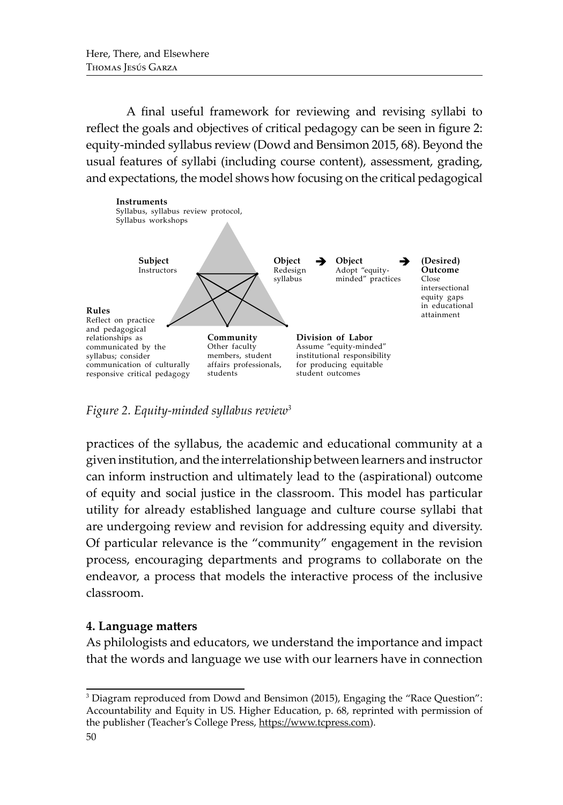A final useful framework for reviewing and revising syllabi to reflect the goals and objectives of critical pedagogy can be seen in figure 2: equity-minded syllabus review (Dowd and Bensimon 2015, 68). Beyond the usual features of syllabi (including course content), assessment, grading, and expectations, the model shows how focusing on the critical pedagogical



*Figure 2. Equity-minded syllabus review3*

practices of the syllabus, the academic and educational community at a given institution, and the interrelationship between learners and instructor can inform instruction and ultimately lead to the (aspirational) outcome of equity and social justice in the classroom. This model has particular utility for already established language and culture course syllabi that are undergoing review and revision for addressing equity and diversity. Of particular relevance is the "community" engagement in the revision process, encouraging departments and programs to collaborate on the endeavor, a process that models the interactive process of the inclusive classroom.

# **4. Language matters**

As philologists and educators, we understand the importance and impact that the words and language we use with our learners have in connection

<sup>3</sup> Diagram reproduced from Dowd and Bensimon (2015), Engaging the "Race Question": Accountability and Equity in US. Higher Education, p. 68, reprinted with permission of the publisher (Teacher's College Press, https://www.tcpress.com).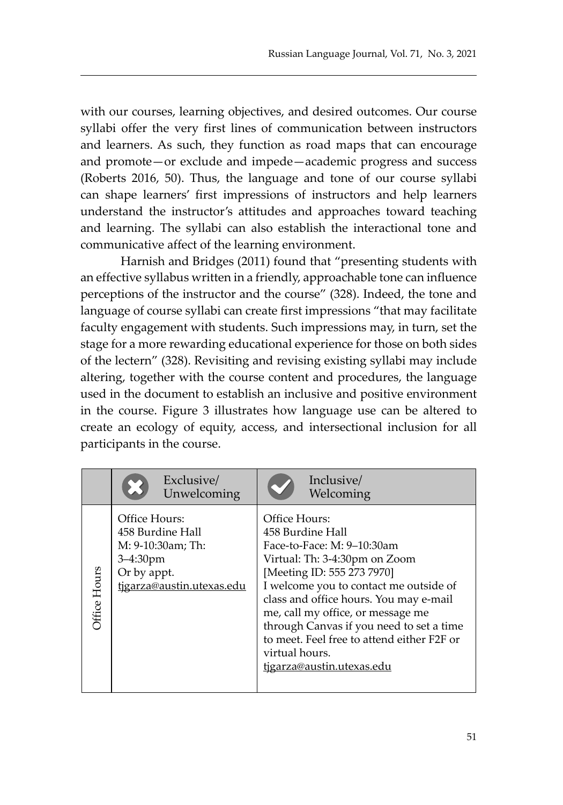with our courses, learning objectives, and desired outcomes. Our course syllabi offer the very first lines of communication between instructors and learners. As such, they function as road maps that can encourage and promote—or exclude and impede—academic progress and success (Roberts 2016, 50). Thus, the language and tone of our course syllabi can shape learners' first impressions of instructors and help learners understand the instructor's attitudes and approaches toward teaching and learning. The syllabi can also establish the interactional tone and communicative affect of the learning environment.

Harnish and Bridges (2011) found that "presenting students with an effective syllabus written in a friendly, approachable tone can influence perceptions of the instructor and the course" (328). Indeed, the tone and language of course syllabi can create first impressions "that may facilitate faculty engagement with students. Such impressions may, in turn, set the stage for a more rewarding educational experience for those on both sides of the lectern" (328). Revisiting and revising existing syllabi may include altering, together with the course content and procedures, the language used in the document to establish an inclusive and positive environment in the course. Figure 3 illustrates how language use can be altered to create an ecology of equity, access, and intersectional inclusion for all participants in the course.

|              | Exclusive/<br>Unwelcoming                                                                                           | Inclusive/<br>Welcoming                                                                                                                                                                                                                                                                                                                                                                          |
|--------------|---------------------------------------------------------------------------------------------------------------------|--------------------------------------------------------------------------------------------------------------------------------------------------------------------------------------------------------------------------------------------------------------------------------------------------------------------------------------------------------------------------------------------------|
| Office Hours | Office Hours:<br>458 Burdine Hall<br>M: 9-10:30am; Th:<br>$3 - 4:30$ pm<br>Or by appt.<br>tigarza@austin.utexas.edu | Office Hours:<br>458 Burdine Hall<br>Face-to-Face: M: 9-10:30am<br>Virtual: Th: 3-4:30pm on Zoom<br>[Meeting ID: 555 273 7970]<br>I welcome you to contact me outside of<br>class and office hours. You may e-mail<br>me, call my office, or message me<br>through Canvas if you need to set a time<br>to meet. Feel free to attend either F2F or<br>virtual hours.<br>tigarza@austin.utexas.edu |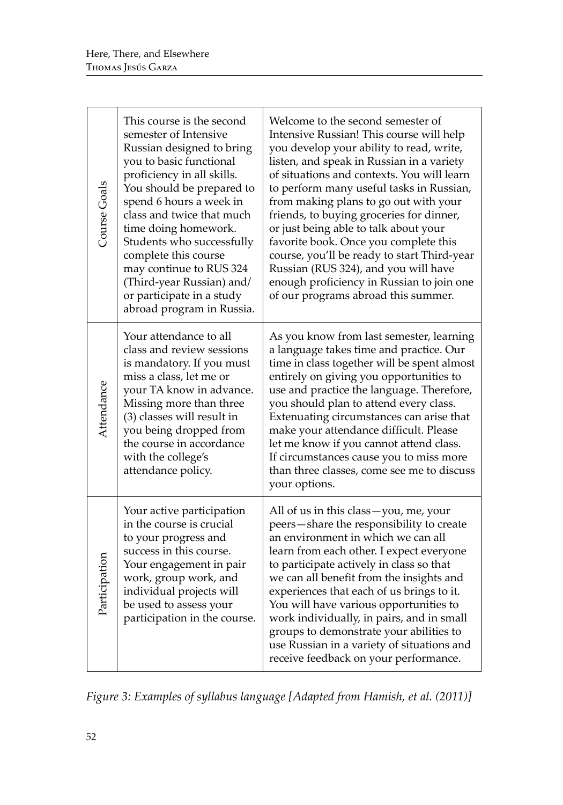| Course Goals  | This course is the second<br>semester of Intensive<br>Russian designed to bring<br>you to basic functional<br>proficiency in all skills.<br>You should be prepared to<br>spend 6 hours a week in<br>class and twice that much<br>time doing homework.<br>Students who successfully<br>complete this course<br>may continue to RUS 324<br>(Third-year Russian) and/<br>or participate in a study<br>abroad program in Russia. | Welcome to the second semester of<br>Intensive Russian! This course will help<br>you develop your ability to read, write,<br>listen, and speak in Russian in a variety<br>of situations and contexts. You will learn<br>to perform many useful tasks in Russian,<br>from making plans to go out with your<br>friends, to buying groceries for dinner,<br>or just being able to talk about your<br>favorite book. Once you complete this<br>course, you'll be ready to start Third-year<br>Russian (RUS 324), and you will have<br>enough proficiency in Russian to join one<br>of our programs abroad this summer. |
|---------------|------------------------------------------------------------------------------------------------------------------------------------------------------------------------------------------------------------------------------------------------------------------------------------------------------------------------------------------------------------------------------------------------------------------------------|--------------------------------------------------------------------------------------------------------------------------------------------------------------------------------------------------------------------------------------------------------------------------------------------------------------------------------------------------------------------------------------------------------------------------------------------------------------------------------------------------------------------------------------------------------------------------------------------------------------------|
| Attendance    | Your attendance to all<br>class and review sessions<br>is mandatory. If you must<br>miss a class, let me or<br>your TA know in advance.<br>Missing more than three<br>(3) classes will result in<br>you being dropped from<br>the course in accordance<br>with the college's<br>attendance policy.                                                                                                                           | As you know from last semester, learning<br>a language takes time and practice. Our<br>time in class together will be spent almost<br>entirely on giving you opportunities to<br>use and practice the language. Therefore,<br>you should plan to attend every class.<br>Extenuating circumstances can arise that<br>make your attendance difficult. Please<br>let me know if you cannot attend class.<br>If circumstances cause you to miss more<br>than three classes, come see me to discuss<br>your options.                                                                                                    |
| Participation | Your active participation<br>in the course is crucial<br>to your progress and<br>success in this course.<br>Your engagement in pair<br>work, group work, and<br>individual projects will<br>be used to assess your<br>participation in the course.                                                                                                                                                                           | All of us in this class — you, me, your<br>peers-share the responsibility to create<br>an environment in which we can all<br>learn from each other. I expect everyone<br>to participate actively in class so that<br>we can all benefit from the insights and<br>experiences that each of us brings to it.<br>You will have various opportunities to<br>work individually, in pairs, and in small<br>groups to demonstrate your abilities to<br>use Russian in a variety of situations and<br>receive feedback on your performance.                                                                                |

*Figure 3: Examples of syllabus language [Adapted from Hamish, et al. (2011)]*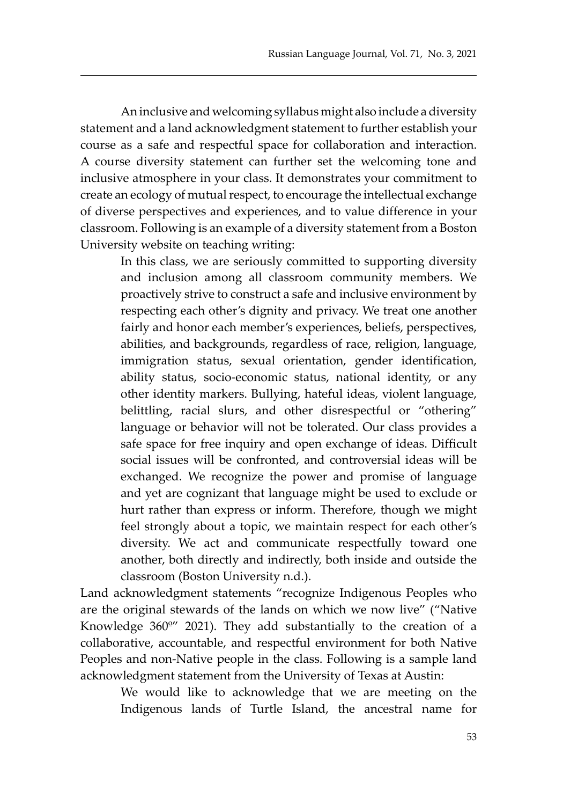An inclusive and welcoming syllabus might also include a diversity statement and a land acknowledgment statement to further establish your course as a safe and respectful space for collaboration and interaction. A course diversity statement can further set the welcoming tone and inclusive atmosphere in your class. It demonstrates your commitment to create an ecology of mutual respect, to encourage the intellectual exchange of diverse perspectives and experiences, and to value difference in your classroom. Following is an example of a diversity statement from a Boston University website on teaching writing:

> In this class, we are seriously committed to supporting diversity and inclusion among all classroom community members. We proactively strive to construct a safe and inclusive environment by respecting each other's dignity and privacy. We treat one another fairly and honor each member's experiences, beliefs, perspectives, abilities, and backgrounds, regardless of race, religion, language, immigration status, sexual orientation, gender identification, ability status, socio-economic status, national identity, or any other identity markers. Bullying, hateful ideas, violent language, belittling, racial slurs, and other disrespectful or "othering" language or behavior will not be tolerated. Our class provides a safe space for free inquiry and open exchange of ideas. Difficult social issues will be confronted, and controversial ideas will be exchanged. We recognize the power and promise of language and yet are cognizant that language might be used to exclude or hurt rather than express or inform. Therefore, though we might feel strongly about a topic, we maintain respect for each other's diversity. We act and communicate respectfully toward one another, both directly and indirectly, both inside and outside the classroom (Boston University n.d.).

Land acknowledgment statements "recognize Indigenous Peoples who are the original stewards of the lands on which we now live" ("Native Knowledge 360º" 2021). They add substantially to the creation of a collaborative, accountable, and respectful environment for both Native Peoples and non-Native people in the class. Following is a sample land acknowledgment statement from the University of Texas at Austin:

We would like to acknowledge that we are meeting on the Indigenous lands of Turtle Island, the ancestral name for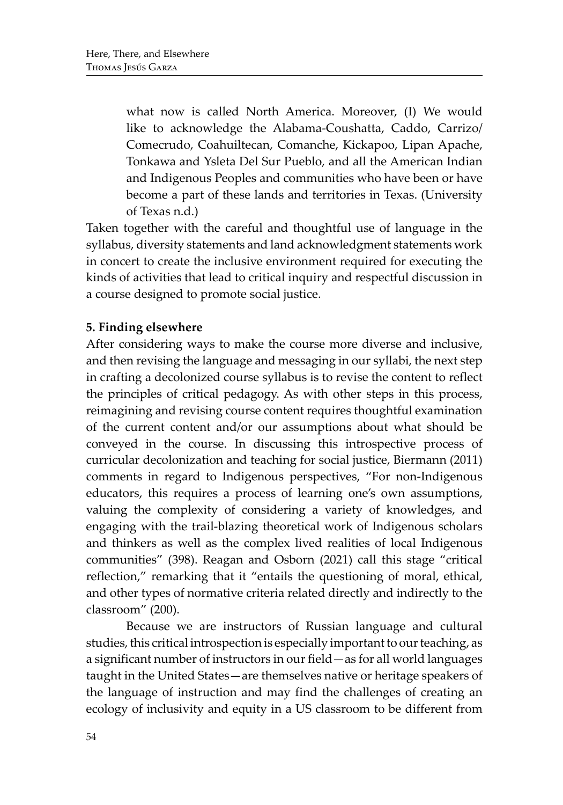what now is called North America. Moreover, (I) We would like to acknowledge the Alabama-Coushatta, Caddo, Carrizo/ Comecrudo, Coahuiltecan, Comanche, Kickapoo, Lipan Apache, Tonkawa and Ysleta Del Sur Pueblo, and all the American Indian and Indigenous Peoples and communities who have been or have become a part of these lands and territories in Texas. (University of Texas n.d.)

Taken together with the careful and thoughtful use of language in the syllabus, diversity statements and land acknowledgment statements work in concert to create the inclusive environment required for executing the kinds of activities that lead to critical inquiry and respectful discussion in a course designed to promote social justice.

# **5. Finding elsewhere**

After considering ways to make the course more diverse and inclusive, and then revising the language and messaging in our syllabi, the next step in crafting a decolonized course syllabus is to revise the content to reflect the principles of critical pedagogy. As with other steps in this process, reimagining and revising course content requires thoughtful examination of the current content and/or our assumptions about what should be conveyed in the course. In discussing this introspective process of curricular decolonization and teaching for social justice, Biermann (2011) comments in regard to Indigenous perspectives, "For non-Indigenous educators, this requires a process of learning one's own assumptions, valuing the complexity of considering a variety of knowledges, and engaging with the trail-blazing theoretical work of Indigenous scholars and thinkers as well as the complex lived realities of local Indigenous communities" (398). Reagan and Osborn (2021) call this stage "critical reflection," remarking that it "entails the questioning of moral, ethical, and other types of normative criteria related directly and indirectly to the classroom" (200).

Because we are instructors of Russian language and cultural studies, this critical introspection is especially important to our teaching, as a significant number of instructors in our field—as for all world languages taught in the United States—are themselves native or heritage speakers of the language of instruction and may find the challenges of creating an ecology of inclusivity and equity in a US classroom to be different from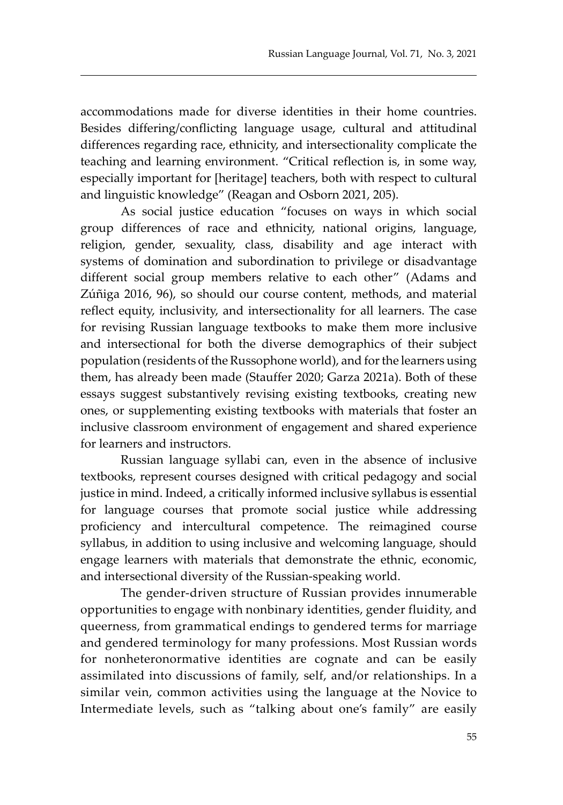accommodations made for diverse identities in their home countries. Besides differing/conflicting language usage, cultural and attitudinal differences regarding race, ethnicity, and intersectionality complicate the teaching and learning environment. "Critical reflection is, in some way, especially important for [heritage] teachers, both with respect to cultural and linguistic knowledge" (Reagan and Osborn 2021, 205).

As social justice education "focuses on ways in which social group differences of race and ethnicity, national origins, language, religion, gender, sexuality, class, disability and age interact with systems of domination and subordination to privilege or disadvantage different social group members relative to each other" (Adams and Zúñiga 2016, 96), so should our course content, methods, and material reflect equity, inclusivity, and intersectionality for all learners. The case for revising Russian language textbooks to make them more inclusive and intersectional for both the diverse demographics of their subject population (residents of the Russophone world), and for the learners using them, has already been made (Stauffer 2020; Garza 2021a). Both of these essays suggest substantively revising existing textbooks, creating new ones, or supplementing existing textbooks with materials that foster an inclusive classroom environment of engagement and shared experience for learners and instructors.

Russian language syllabi can, even in the absence of inclusive textbooks, represent courses designed with critical pedagogy and social justice in mind. Indeed, a critically informed inclusive syllabus is essential for language courses that promote social justice while addressing proficiency and intercultural competence. The reimagined course syllabus, in addition to using inclusive and welcoming language, should engage learners with materials that demonstrate the ethnic, economic, and intersectional diversity of the Russian-speaking world.

The gender-driven structure of Russian provides innumerable opportunities to engage with nonbinary identities, gender fluidity, and queerness, from grammatical endings to gendered terms for marriage and gendered terminology for many professions. Most Russian words for nonheteronormative identities are cognate and can be easily assimilated into discussions of family, self, and/or relationships. In a similar vein, common activities using the language at the Novice to Intermediate levels, such as "talking about one's family" are easily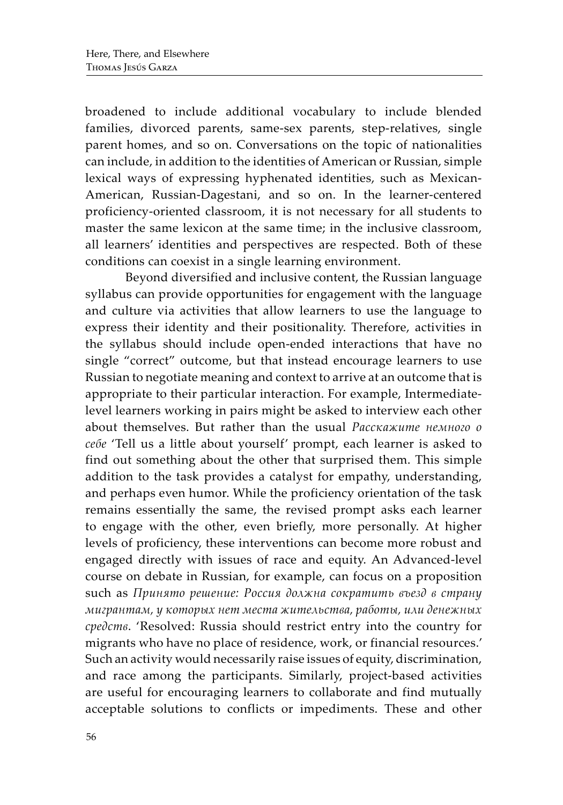broadened to include additional vocabulary to include blended families, divorced parents, same-sex parents, step-relatives, single parent homes, and so on. Conversations on the topic of nationalities can include, in addition to the identities of American or Russian, simple lexical ways of expressing hyphenated identities, such as Mexican-American, Russian-Dagestani, and so on. In the learner-centered proficiency-oriented classroom, it is not necessary for all students to master the same lexicon at the same time; in the inclusive classroom, all learners' identities and perspectives are respected. Both of these conditions can coexist in a single learning environment.

Beyond diversified and inclusive content, the Russian language syllabus can provide opportunities for engagement with the language and culture via activities that allow learners to use the language to express their identity and their positionality. Therefore, activities in the syllabus should include open-ended interactions that have no single "correct" outcome, but that instead encourage learners to use Russian to negotiate meaning and context to arrive at an outcome that is appropriate to their particular interaction. For example, Intermediatelevel learners working in pairs might be asked to interview each other about themselves. But rather than the usual *Расскажите немного о себе* 'Tell us a little about yourself' prompt, each learner is asked to find out something about the other that surprised them. This simple addition to the task provides a catalyst for empathy, understanding, and perhaps even humor. While the proficiency orientation of the task remains essentially the same, the revised prompt asks each learner to engage with the other, even briefly, more personally. At higher levels of proficiency, these interventions can become more robust and engaged directly with issues of race and equity. An Advanced-level course on debate in Russian, for example, can focus on a proposition such as *Принято решение: Россия должна сократить въезд в страну мигрантам, у которых нет места жительства, работы, или денежных средств*. 'Resolved: Russia should restrict entry into the country for migrants who have no place of residence, work, or financial resources.' Such an activity would necessarily raise issues of equity, discrimination, and race among the participants. Similarly, project-based activities are useful for encouraging learners to collaborate and find mutually acceptable solutions to conflicts or impediments. These and other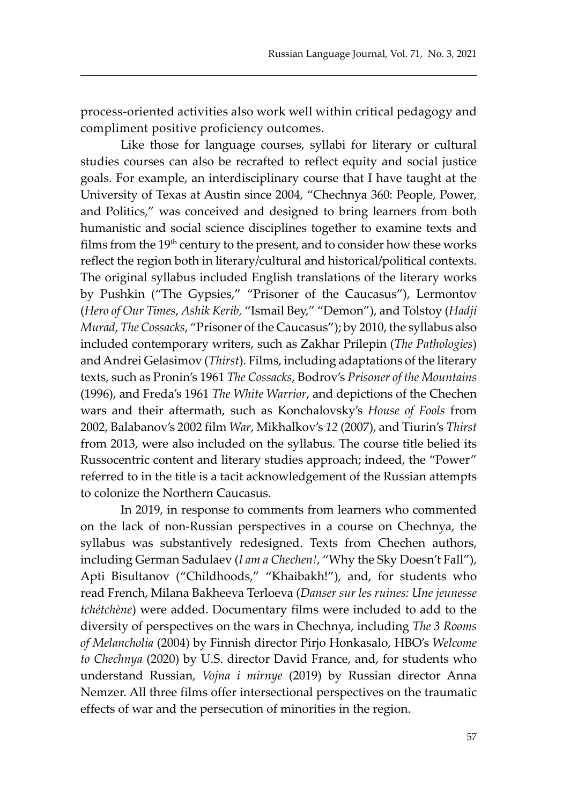process-oriented activities also work well within critical pedagogy and compliment positive proficiency outcomes.

Like those for language courses, syllabi for literary or cultural studies courses can also be recrafted to reflect equity and social justice goals. For example, an interdisciplinary course that I have taught at the University of Texas at Austin since 2004, "Chechnya 360: People, Power, and Politics," was conceived and designed to bring learners from both humanistic and social science disciplines together to examine texts and films from the 19<sup>th</sup> century to the present, and to consider how these works reflect the region both in literary/cultural and historical/political contexts. The original syllabus included English translations of the literary works by Pushkin ("The Gypsies," "Prisoner of the Caucasus"), Lermontov (*Hero of Our Times*, *Ashik Kerib,* "Ismail Bey," "Demon"), and Tolstoy (*Hadji Murad*, *The Cossacks*, "Prisoner of the Caucasus"); by 2010, the syllabus also included contemporary writers, such as Zakhar Prilepin (*The Pathologies*) and Andrei Gelasimov (*Thirst*). Films, including adaptations of the literary texts, such as Pronin's 1961 *The Cossacks*, Bodrov's *Prisoner of the Mountains*  (1996), and Freda's 1961 *The White Warrior*, and depictions of the Chechen wars and their aftermath, such as Konchalovsky's *House of Fools* from 2002, Balabanov's 2002 film *War*, Mikhalkov's *12* (2007), and Tiurin's *Thirst*  from 2013, were also included on the syllabus. The course title belied its Russocentric content and literary studies approach; indeed, the "Power" referred to in the title is a tacit acknowledgement of the Russian attempts to colonize the Northern Caucasus.

In 2019, in response to comments from learners who commented on the lack of non-Russian perspectives in a course on Chechnya, the syllabus was substantively redesigned. Texts from Chechen authors, including German Sadulaev (*I am a Chechen!*, "Why the Sky Doesn't Fall"), Apti Bisultanov ("Childhoods," "Khaibakh!"), and, for students who read French, Milana Bakheeva Terloeva (*Danser sur les ruines: Une jeunesse tchétchène*) were added. Documentary films were included to add to the diversity of perspectives on the wars in Chechnya, including *The 3 Rooms of Melancholia* (2004) by Finnish director Pirjo Honkasalo, HBO's *Welcome to Chechnya* (2020) by U.S. director David France, and, for students who understand Russian, *Vojna i mirnye* (2019) by Russian director Anna Nemzer. All three films offer intersectional perspectives on the traumatic effects of war and the persecution of minorities in the region.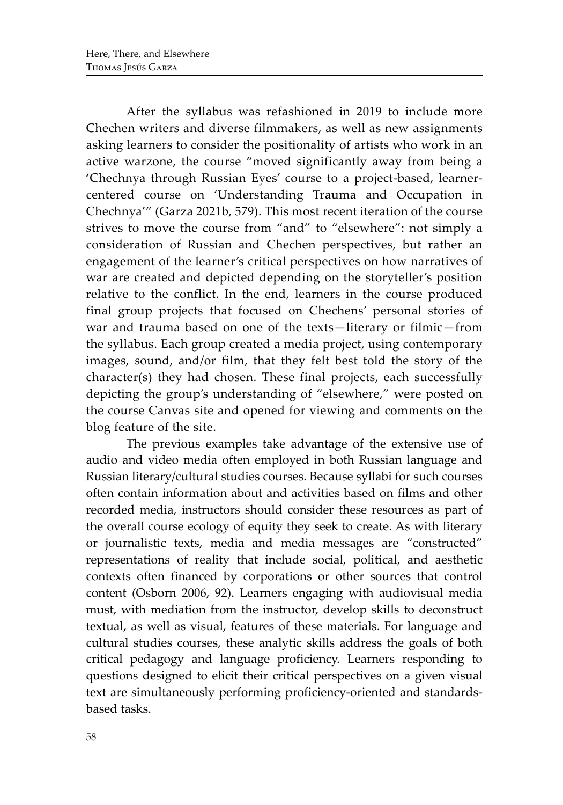After the syllabus was refashioned in 2019 to include more Chechen writers and diverse filmmakers, as well as new assignments asking learners to consider the positionality of artists who work in an active warzone, the course "moved significantly away from being a 'Chechnya through Russian Eyes' course to a project-based, learnercentered course on 'Understanding Trauma and Occupation in Chechnya'" (Garza 2021b, 579). This most recent iteration of the course strives to move the course from "and" to "elsewhere": not simply a consideration of Russian and Chechen perspectives, but rather an engagement of the learner's critical perspectives on how narratives of war are created and depicted depending on the storyteller's position relative to the conflict. In the end, learners in the course produced final group projects that focused on Chechens' personal stories of war and trauma based on one of the texts—literary or filmic—from the syllabus. Each group created a media project, using contemporary images, sound, and/or film, that they felt best told the story of the character(s) they had chosen. These final projects, each successfully depicting the group's understanding of "elsewhere," were posted on the course Canvas site and opened for viewing and comments on the blog feature of the site.

The previous examples take advantage of the extensive use of audio and video media often employed in both Russian language and Russian literary/cultural studies courses. Because syllabi for such courses often contain information about and activities based on films and other recorded media, instructors should consider these resources as part of the overall course ecology of equity they seek to create. As with literary or journalistic texts, media and media messages are "constructed" representations of reality that include social, political, and aesthetic contexts often financed by corporations or other sources that control content (Osborn 2006, 92). Learners engaging with audiovisual media must, with mediation from the instructor, develop skills to deconstruct textual, as well as visual, features of these materials. For language and cultural studies courses, these analytic skills address the goals of both critical pedagogy and language proficiency. Learners responding to questions designed to elicit their critical perspectives on a given visual text are simultaneously performing proficiency-oriented and standardsbased tasks.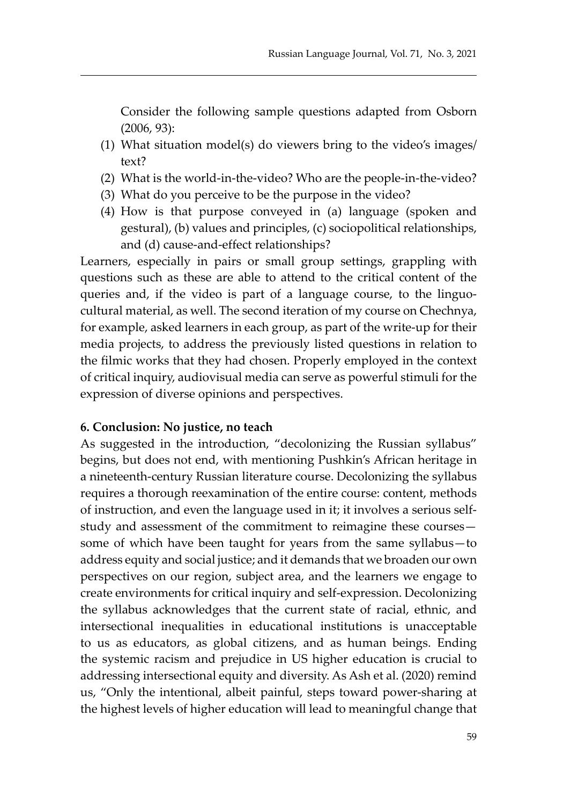Consider the following sample questions adapted from Osborn (2006, 93):

- (1) What situation model(s) do viewers bring to the video's images/ text?
- (2) What is the world-in-the-video? Who are the people-in-the-video?
- (3) What do you perceive to be the purpose in the video?
- (4) How is that purpose conveyed in (a) language (spoken and gestural), (b) values and principles, (c) sociopolitical relationships, and (d) cause-and-effect relationships?

Learners, especially in pairs or small group settings, grappling with questions such as these are able to attend to the critical content of the queries and, if the video is part of a language course, to the linguocultural material, as well. The second iteration of my course on Chechnya, for example, asked learners in each group, as part of the write-up for their media projects, to address the previously listed questions in relation to the filmic works that they had chosen. Properly employed in the context of critical inquiry, audiovisual media can serve as powerful stimuli for the expression of diverse opinions and perspectives.

#### **6. Conclusion: No justice, no teach**

As suggested in the introduction, "decolonizing the Russian syllabus" begins, but does not end, with mentioning Pushkin's African heritage in a nineteenth-century Russian literature course. Decolonizing the syllabus requires a thorough reexamination of the entire course: content, methods of instruction, and even the language used in it; it involves a serious selfstudy and assessment of the commitment to reimagine these courses some of which have been taught for years from the same syllabus—to address equity and social justice; and it demands that we broaden our own perspectives on our region, subject area, and the learners we engage to create environments for critical inquiry and self-expression. Decolonizing the syllabus acknowledges that the current state of racial, ethnic, and intersectional inequalities in educational institutions is unacceptable to us as educators, as global citizens, and as human beings. Ending the systemic racism and prejudice in US higher education is crucial to addressing intersectional equity and diversity. As Ash et al. (2020) remind us, "Only the intentional, albeit painful, steps toward power-sharing at the highest levels of higher education will lead to meaningful change that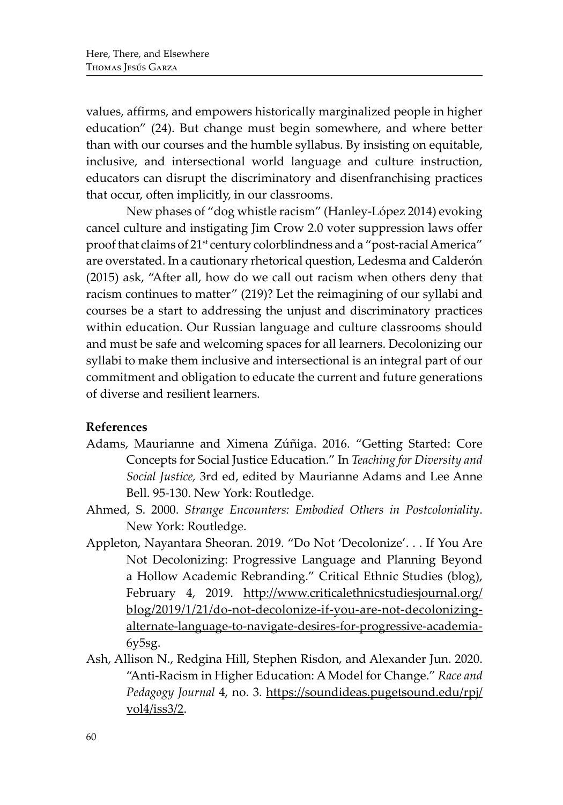values, affirms, and empowers historically marginalized people in higher education" (24). But change must begin somewhere, and where better than with our courses and the humble syllabus. By insisting on equitable, inclusive, and intersectional world language and culture instruction, educators can disrupt the discriminatory and disenfranchising practices that occur, often implicitly, in our classrooms.

New phases of "dog whistle racism" (Hanley-López 2014) evoking cancel culture and instigating Jim Crow 2.0 voter suppression laws offer proof that claims of 21<sup>st</sup> century colorblindness and a "post-racial America" are overstated. In a cautionary rhetorical question, Ledesma and Calderón (2015) ask, "After all, how do we call out racism when others deny that racism continues to matter" (219)? Let the reimagining of our syllabi and courses be a start to addressing the unjust and discriminatory practices within education. Our Russian language and culture classrooms should and must be safe and welcoming spaces for all learners. Decolonizing our syllabi to make them inclusive and intersectional is an integral part of our commitment and obligation to educate the current and future generations of diverse and resilient learners.

## **References**

- Adams, Maurianne and Ximena Zúñiga. 2016. "Getting Started: Core Concepts for Social Justice Education." In *Teaching for Diversity and Social Justice,* 3rd ed, edited by Maurianne Adams and Lee Anne Bell. 95-130. New York: Routledge.
- Ahmed, S. 2000. *Strange Encounters: Embodied Others in Postcoloniality*. New York: Routledge.
- Appleton, Nayantara Sheoran. 2019. "Do Not 'Decolonize'. . . If You Are Not Decolonizing: Progressive Language and Planning Beyond a Hollow Academic Rebranding." Critical Ethnic Studies (blog), February 4, 2019. http://www.criticalethnicstudiesjournal.org/ blog/2019/1/21/do-not-decolonize-if-you-are-not-decolonizingalternate-language-to-navigate-desires-for-progressive-academia- $6y5sg.$
- Ash, Allison N., Redgina Hill, Stephen Risdon, and Alexander Jun. 2020. "Anti-Racism in Higher Education: A Model for Change." *Race and Pedagogy Journal* 4, no. 3. https://soundideas.pugetsound.edu/rpj/  $vol4/iss3/2$ .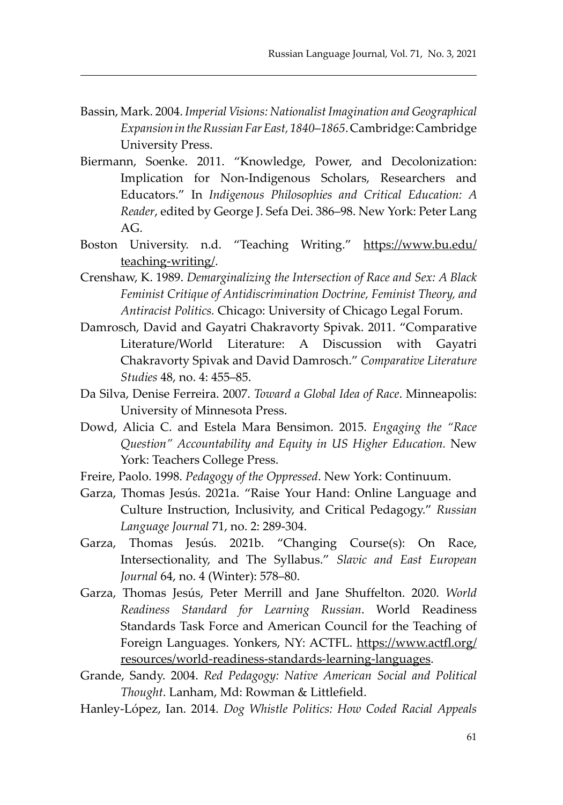- Bassin, Mark. 2004. *Imperial Visions: Nationalist Imagination and Geographical Expansion in the Russian Far East, 1840*–*1865*. Cambridge: Cambridge University Press.
- Biermann, Soenke. 2011. "Knowledge, Power, and Decolonization: Implication for Non-Indigenous Scholars, Researchers and Educators." In *Indigenous Philosophies and Critical Education: A Reader*, edited by George J. Sefa Dei. 386–98. New York: Peter Lang AG.
- Boston University. n.d. "Teaching Writing." https://www.bu.edu/ teaching-writing/.
- Crenshaw, K. 1989. *Demarginalizing the Intersection of Race and Sex: A Black Feminist Critique of Antidiscrimination Doctrine, Feminist Theory, and Antiracist Politics.* Chicago: University of Chicago Legal Forum.
- Damrosch, David and Gayatri Chakravorty Spivak. 2011. "Comparative Literature/World Literature: A Discussion with Gayatri Chakravorty Spivak and David Damrosch." *Comparative Literature Studies* 48, no. 4: 455–85.
- Da Silva, Denise Ferreira. 2007. *Toward a Global Idea of Race*. Minneapolis: University of Minnesota Press.
- Dowd, Alicia C. and Estela Mara Bensimon. 2015. *Engaging the "Race Question" Accountability and Equity in US Higher Education.* New York: Teachers College Press.
- Freire, Paolo. 1998. *Pedagogy of the Oppressed*. New York: Continuum.
- Garza, Thomas Jesús. 2021a. "Raise Your Hand: Online Language and Culture Instruction, Inclusivity, and Critical Pedagogy." *Russian Language Journal* 71, no. 2: 289-304.
- Garza, Thomas Jesús. 2021b. "Changing Course(s): On Race, Intersectionality, and The Syllabus." *Slavic and East European Journal* 64, no. 4 (Winter): 578–80.
- Garza, Thomas Jesús, Peter Merrill and Jane Shuffelton. 2020. *World Readiness Standard for Learning Russian*. World Readiness Standards Task Force and American Council for the Teaching of Foreign Languages. Yonkers, NY: ACTFL. https://www.actfl.org/ resources/world-readiness-standards-learning-languages.
- Grande, Sandy. 2004. *Red Pedagogy: Native American Social and Political Thought*. Lanham, Md: Rowman & Littlefield.
- Hanley-López, Ian. 2014. *Dog Whistle Politics: How Coded Racial Appeals*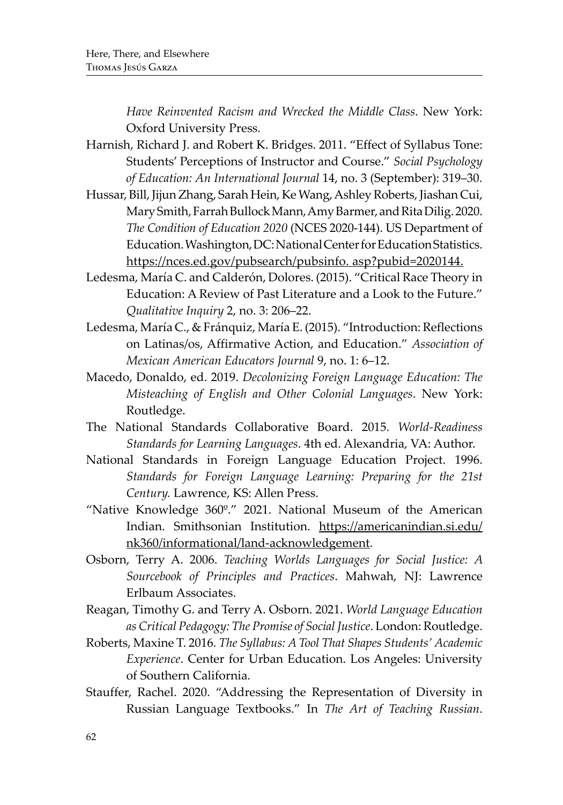*Have Reinvented Racism and Wrecked the Middle Class*. New York: Oxford University Press.

- Harnish, Richard J. and Robert K. Bridges. 2011. "Effect of Syllabus Tone: Students' Perceptions of Instructor and Course." *Social Psychology of Education: An International Journal* 14, no. 3 (September): 319–30.
- Hussar, Bill, Jijun Zhang, Sarah Hein, Ke Wang, Ashley Roberts, Jiashan Cui, Mary Smith, Farrah Bullock Mann, Amy Barmer, and Rita Dilig. 2020. *The Condition of Education 2020* (NCES 2020-144). US Department of Education. Washington, DC: National Center for Education Statistics. https://nces.ed.gov/pubsearch/pubsinfo. asp?pubid=2020144.
- Ledesma, María C. and Calderón, Dolores. (2015). "Critical Race Theory in Education: A Review of Past Literature and a Look to the Future." *Qualitative Inquiry* 2, no. 3: 206–22.
- Ledesma, María C., & Fránquiz, María E. (2015). "Introduction: Reflections on Latinas/os, Affirmative Action, and Education." *Association of Mexican American Educators Journal* 9, no. 1: 6–12.
- Macedo, Donaldo, ed. 2019. *Decolonizing Foreign Language Education: The Misteaching of English and Other Colonial Languages*. New York: Routledge.
- The National Standards Collaborative Board. 2015. *World-Readiness Standards for Learning Languages*. 4th ed. Alexandria, VA: Author.
- National Standards in Foreign Language Education Project. 1996. *Standards for Foreign Language Learning: Preparing for the 21st Century.* Lawrence, KS: Allen Press.
- "Native Knowledge 360º." 2021. National Museum of the American Indian. Smithsonian Institution. https://americanindian.si.edu/ nk360/informational/land-acknowledgement.
- Osborn, Terry A. 2006. *Teaching Worlds Languages for Social Justice: A Sourcebook of Principles and Practices*. Mahwah, NJ: Lawrence Erlbaum Associates.
- Reagan, Timothy G. and Terry A. Osborn. 2021. *World Language Education as Critical Pedagogy: The Promise of Social Justice*. London: Routledge.
- Roberts, Maxine T. 2016. *The Syllabus: A Tool That Shapes Students' Academic Experience*. Center for Urban Education. Los Angeles: University of Southern California.
- Stauffer, Rachel. 2020. "Addressing the Representation of Diversity in Russian Language Textbooks." In *The Art of Teaching Russian*.